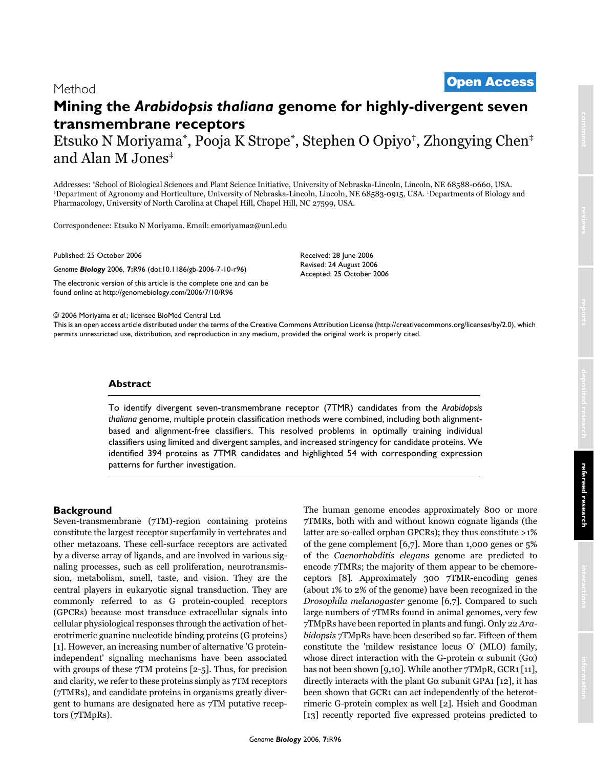# <sup>2006</sup> Moriyama et al. Volume 7, Issue 10, Article R96 **[Open Access](http://www.biomedcentral.com/info/about/charter/)** Method

# **Mining the** *Arabidopsis thaliana* **genome for highly-divergent seven transmembrane receptors** Etsuko N Moriyama\*, Pooja K Strope\*, Stephen O Opiyo†, Zhongying Chen‡ and Alan M Jones‡

Addresses: "School of Biological Sciences and Plant Science Initiative, University of Nebraska-Lincoln, Lincoln, NE 68588-0660, USA.<br>"Department of Agronomy and Horticulture, University of Nebraska-Lincoln, Lincoln, NE 685 Pharmacology, University of North Carolina at Chapel Hill, Chapel Hill, NC 27599, USA.

Correspondence: Etsuko N Moriyama. Email: emoriyama2@unl.edu

Published: 25 October 2006

*Genome Biology* 2006, **7:**R96 (doi:10.1186/gb-2006-7-10-r96)

[The electronic version of this article is the complete one and can be](http://genomebiology.com/2006/7/10/R96)  found online at http://genomebiology.com/2006/7/10/R96

© 2006 Moriyama *et al*.; licensee BioMed Central Ltd.

[This is an open access article distributed under the terms of the Creative Commons Attribution License \(http://creativecommons.org/licenses/by/2.0\), which](http://creativecommons.org/licenses/by/2.0)  permits unrestricted use, distribution, and reproduction in any medium, provided the original work is properly cited.

Received: 28 June 2006 Revised: 24 August 2006 Accepted: 25 October 2006

## **Abstract**

To identify divergent seven-transmembrane receptor (7TMR) candidates from the *Arabidopsis thaliana* genome, multiple protein classification methods were combined, including both alignmentbased and alignment-free classifiers. This resolved problems in optimally training individual classifiers using limited and divergent samples, and increased stringency for candidate proteins. We identified 394 proteins as 7TMR candidates and highlighted 54 with corresponding expression patterns for further investigation.

# **Background**

Seven-transmembrane (7TM)-region containing proteins constitute the largest receptor superfamily in vertebrates and other metazoans. These cell-surface receptors are activated by a diverse array of ligands, and are involved in various signaling processes, such as cell proliferation, neurotransmission, metabolism, smell, taste, and vision. They are the central players in eukaryotic signal transduction. They are commonly referred to as G protein-coupled receptors (GPCRs) because most transduce extracellular signals into cellular physiological responses through the activation of heterotrimeric guanine nucleotide binding proteins (G proteins) [1]. However, an increasing number of alternative 'G proteinindependent' signaling mechanisms have been associated with groups of these 7TM proteins [2-5]. Thus, for precision and clarity, we refer to these proteins simply as 7TM receptors (7TMRs), and candidate proteins in organisms greatly divergent to humans are designated here as 7TM putative receptors (7TMpRs).

The human genome encodes approximately 800 or more 7TMRs, both with and without known cognate ligands (the latter are so-called orphan GPCRs); they thus constitute >1% of the gene complement [6,7]. More than 1,000 genes or 5% of the *Caenorhabditis elegans* genome are predicted to encode 7TMRs; the majority of them appear to be chemoreceptors [8]. Approximately 300 7TMR-encoding genes (about 1% to 2% of the genome) have been recognized in the *Drosophila melanogaster* genome [6,7]. Compared to such large numbers of 7TMRs found in animal genomes, very few 7TMpRs have been reported in plants and fungi. Only 22 *Arabidopsis* 7TMpRs have been described so far. Fifteen of them constitute the 'mildew resistance locus O' (MLO) family, whose direct interaction with the G-protein  $\alpha$  subunit (G $\alpha$ ) has not been shown [9,10]. While another 7TMpR, GCR1 [11], directly interacts with the plant  $G\alpha$  subunit GPA1 [12], it has been shown that GCR1 can act independently of the heterotrimeric G-protein complex as well [2]. Hsieh and Goodman [13] recently reported five expressed proteins predicted to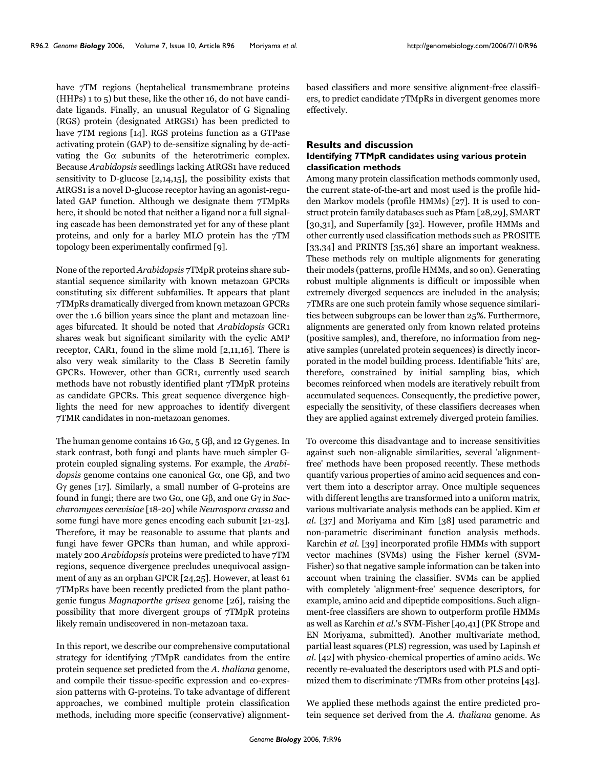have  $7TM$  regions (heptahelical transmembrane proteins (HHPs) 1 to 5) but these, like the other 16, do not have candidate ligands. Finally, an unusual Regulator of G Signaling (RGS) protein (designated AtRGS1) has been predicted to have 7TM regions [14]. RGS proteins function as a GTPase activating protein (GAP) to de-sensitize signaling by de-activating the  $G\alpha$  subunits of the heterotrimeric complex. Because *Arabidopsis* seedlings lacking AtRGS1 have reduced sensitivity to D-glucose [2,14,15], the possibility exists that AtRGS1 is a novel D-glucose receptor having an agonist-regulated GAP function. Although we designate them 7TMpRs here, it should be noted that neither a ligand nor a full signaling cascade has been demonstrated yet for any of these plant proteins, and only for a barley MLO protein has the 7TM topology been experimentally confirmed [9].

None of the reported *Arabidopsis* 7TMpR proteins share substantial sequence similarity with known metazoan GPCRs constituting six different subfamilies. It appears that plant 7TMpRs dramatically diverged from known metazoan GPCRs over the 1.6 billion years since the plant and metazoan lineages bifurcated. It should be noted that *Arabidopsis* GCR1 shares weak but significant similarity with the cyclic AMP receptor, CAR1, found in the slime mold [2,11,16]. There is also very weak similarity to the Class B Secretin family GPCRs. However, other than GCR1, currently used search methods have not robustly identified plant 7TMpR proteins as candidate GPCRs. This great sequence divergence highlights the need for new approaches to identify divergent 7TMR candidates in non-metazoan genomes.

The human genome contains 16 G $\alpha$ , 5 G $\beta$ , and 12 G $\gamma$  genes. In stark contrast, both fungi and plants have much simpler Gprotein coupled signaling systems. For example, the *Arabidopsis* genome contains one canonical Gα, one Gβ, and two Gγ genes [17]. Similarly, a small number of G-proteins are found in fungi; there are two Gα, one Gβ, and one Gγ in *Saccharomyces cerevisiae* [18-20] while *Neurospora crassa* and some fungi have more genes encoding each subunit [21-23]. Therefore, it may be reasonable to assume that plants and fungi have fewer GPCRs than human, and while approximately 200 *Arabidopsis* proteins were predicted to have 7TM regions, sequence divergence precludes unequivocal assignment of any as an orphan GPCR [24,25]. However, at least 61 7TMpRs have been recently predicted from the plant pathogenic fungus *Magnaporthe grisea* genome [26], raising the possibility that more divergent groups of 7TMpR proteins likely remain undiscovered in non-metazoan taxa.

In this report, we describe our comprehensive computational strategy for identifying 7TMpR candidates from the entire protein sequence set predicted from the *A. thaliana* genome, and compile their tissue-specific expression and co-expression patterns with G-proteins. To take advantage of different approaches, we combined multiple protein classification methods, including more specific (conservative) alignmentbased classifiers and more sensitive alignment-free classifiers, to predict candidate 7TMpRs in divergent genomes more effectively.

# **Results and discussion Identifying 7TMpR candidates using various protein classification methods**

Among many protein classification methods commonly used, the current state-of-the-art and most used is the profile hidden Markov models (profile HMMs) [27]. It is used to construct protein family databases such as Pfam [28,29], SMART [30,31], and Superfamily [32]. However, profile HMMs and other currently used classification methods such as PROSITE [33,34] and PRINTS [35,36] share an important weakness. These methods rely on multiple alignments for generating their models (patterns, profile HMMs, and so on). Generating robust multiple alignments is difficult or impossible when extremely diverged sequences are included in the analysis; 7TMRs are one such protein family whose sequence similarities between subgroups can be lower than 25%. Furthermore, alignments are generated only from known related proteins (positive samples), and, therefore, no information from negative samples (unrelated protein sequences) is directly incorporated in the model building process. Identifiable 'hits' are, therefore, constrained by initial sampling bias, which becomes reinforced when models are iteratively rebuilt from accumulated sequences. Consequently, the predictive power, especially the sensitivity, of these classifiers decreases when they are applied against extremely diverged protein families.

To overcome this disadvantage and to increase sensitivities against such non-alignable similarities, several 'alignmentfree' methods have been proposed recently. These methods quantify various properties of amino acid sequences and convert them into a descriptor array. Once multiple sequences with different lengths are transformed into a uniform matrix, various multivariate analysis methods can be applied. Kim *et al*. [37] and Moriyama and Kim [38] used parametric and non-parametric discriminant function analysis methods. Karchin *et al*. [39] incorporated profile HMMs with support vector machines (SVMs) using the Fisher kernel (SVM-Fisher) so that negative sample information can be taken into account when training the classifier. SVMs can be applied with completely 'alignment-free' sequence descriptors, for example, amino acid and dipeptide compositions. Such alignment-free classifiers are shown to outperform profile HMMs as well as Karchin *et al*.'s SVM-Fisher [40,41] (PK Strope and EN Moriyama, submitted). Another multivariate method, partial least squares (PLS) regression, was used by Lapinsh *et al*. [42] with physico-chemical properties of amino acids. We recently re-evaluated the descriptors used with PLS and optimized them to discriminate 7TMRs from other proteins [43].

We applied these methods against the entire predicted protein sequence set derived from the *A. thaliana* genome. As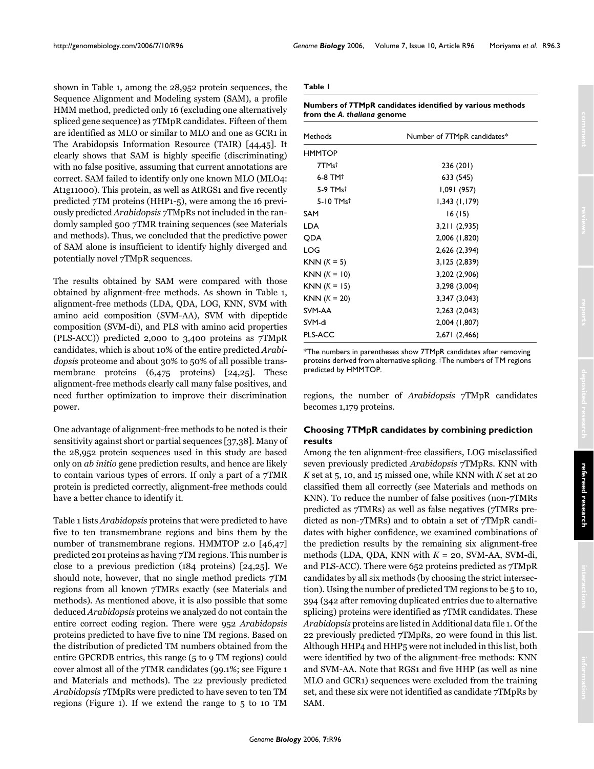shown in Table 1, among the 28,952 protein sequences, the Sequence Alignment and Modeling system (SAM), a profile HMM method, predicted only 16 (excluding one alternatively spliced gene sequence) as 7TMpR candidates. Fifteen of them are identified as MLO or similar to MLO and one as GCR1 in The Arabidopsis Information Resource (TAIR) [44,45]. It clearly shows that SAM is highly specific (discriminating) with no false positive, assuming that current annotations are correct. SAM failed to identify only one known MLO (MLO4: At1g11000). This protein, as well as AtRGS1 and five recently predicted 7TM proteins (HHP1-5), were among the 16 previously predicted *Arabidopsis* 7TMpRs not included in the randomly sampled 500 7TMR training sequences (see Materials and methods). Thus, we concluded that the predictive power of SAM alone is insufficient to identify highly diverged and potentially novel 7TMpR sequences.

The results obtained by SAM were compared with those obtained by alignment-free methods. As shown in Table 1, alignment-free methods (LDA, QDA, LOG, KNN, SVM with amino acid composition (SVM-AA), SVM with dipeptide composition (SVM-di), and PLS with amino acid properties (PLS-ACC)) predicted 2,000 to 3,400 proteins as 7TMpR candidates, which is about 10% of the entire predicted *Arabidopsis* proteome and about 30% to 50% of all possible transmembrane proteins (6,475 proteins) [24,25]. These alignment-free methods clearly call many false positives, and need further optimization to improve their discrimination power.

One advantage of alignment-free methods to be noted is their sensitivity against short or partial sequences [37,38]. Many of the 28,952 protein sequences used in this study are based only on *ab initio* gene prediction results, and hence are likely to contain various types of errors. If only a part of a 7TMR protein is predicted correctly, alignment-free methods could have a better chance to identify it.

Table 1 lists *Arabidopsis* proteins that were predicted to have five to ten transmembrane regions and bins them by the number of transmembrane regions. HMMTOP 2.0 [46,47] predicted 201 proteins as having 7TM regions. This number is close to a previous prediction (184 proteins) [24,25]. We should note, however, that no single method predicts 7TM regions from all known 7TMRs exactly (see Materials and methods). As mentioned above, it is also possible that some deduced *Arabidopsis* proteins we analyzed do not contain the entire correct coding region. There were 952 *Arabidopsis* proteins predicted to have five to nine TM regions. Based on the distribution of predicted TM numbers obtained from the entire GPCRDB entries, this range (5 to 9 TM regions) could cover almost all of the 7TMR candidates (99.1%; see Figure 1 and Materials and methods). The 22 previously predicted *Arabidopsis* 7TMpRs were predicted to have seven to ten TM regions (Figure 1). If we extend the range to 5 to 10 TM

#### **Table 1**

**Numbers of 7TMpR candidates identified by various methods from the** *A. thaliana* **genome**

| Methods               | Number of 7TMpR candidates* |
|-----------------------|-----------------------------|
| <b>HMMTOP</b>         |                             |
| 7TMst                 | 236 (201)                   |
| $6-8$ TM <sup>+</sup> | 633 (545)                   |
| 5-9 TMst              | 1,091 (957)                 |
| 5-10 TMst             | 1,343(1,179)                |
| SAM                   | 16(15)                      |
| <b>LDA</b>            | 3,211(2,935)                |
| <b>ODA</b>            | 2,006 (1,820)               |
| LOG                   | 2,626 (2,394)               |
| $KNN (K = 5)$         | 3,125 (2,839)               |
| $KNN (K = 10)$        | 3,202 (2,906)               |
| $KNN (K = 15)$        | 3,298 (3,004)               |
| $KNN (K = 20)$        | 3,347 (3,043)               |
| SVM-AA                | 2,263 (2,043)               |
| SVM-di                | 2,004 (1,807)               |
| PLS-ACC               | 2,671 (2,466)               |

\*The numbers in parentheses show 7TMpR candidates after removing proteins derived from alternative splicing. †The numbers of TM regions predicted by HMMTOP.

regions, the number of *Arabidopsis* 7TMpR candidates becomes 1,179 proteins.

# **Choosing 7TMpR candidates by combining prediction results**

Among the ten alignment-free classifiers, LOG misclassified seven previously predicted *Arabidopsis* 7TMpRs. KNN with *K* set at 5, 10, and 15 missed one, while KNN with *K* set at 20 classified them all correctly (see Materials and methods on KNN). To reduce the number of false positives (non-7TMRs predicted as 7TMRs) as well as false negatives (7TMRs predicted as non-7TMRs) and to obtain a set of 7TMpR candidates with higher confidence, we examined combinations of the prediction results by the remaining six alignment-free methods (LDA, QDA, KNN with *K* = 20, SVM-AA, SVM-di, and PLS-ACC). There were 652 proteins predicted as 7TMpR candidates by all six methods (by choosing the strict intersection). Using the number of predicted TM regions to be 5 to 10, 394 (342 after removing duplicated entries due to alternative splicing) proteins were identified as 7TMR candidates. These *Arabidopsis* proteins are listed in Additional data file 1. Of the 22 previously predicted 7TMpRs, 20 were found in this list. Although HHP4 and HHP5 were not included in this list, both were identified by two of the alignment-free methods: KNN and SVM-AA. Note that RGS1 and five HHP (as well as nine MLO and GCR1) sequences were excluded from the training set, and these six were not identified as candidate 7TMpRs by SAM.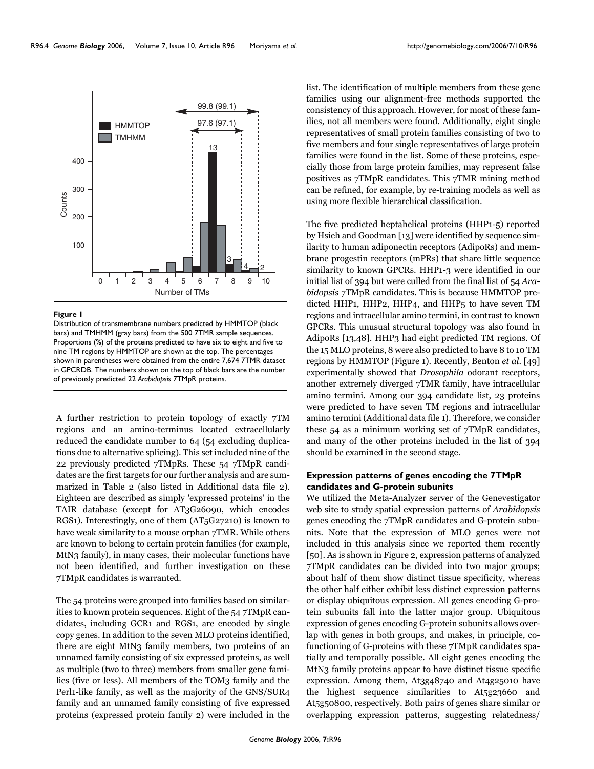

#### Figure 1

Distribution of transmembrane numbers predicted by HMMTOP (black bars) and TMHMM (gray bars) from the 500 7TMR sample sequences. Proportions (%) of the proteins predicted to have six to eight and five to nine TM regions by HMMTOP are shown at the top. The percentages shown in parentheses were obtained from the entire 7,674 7TMR dataset in GPCRDB. The numbers shown on the top of black bars are the number of previously predicted 22 *Arabidopsis* 7TMpR proteins.

A further restriction to protein topology of exactly 7TM regions and an amino-terminus located extracellularly reduced the candidate number to 64 (54 excluding duplications due to alternative splicing). This set included nine of the 22 previously predicted 7TMpRs. These 54 7TMpR candidates are the first targets for our further analysis and are summarized in Table 2 (also listed in Additional data file 2). Eighteen are described as simply 'expressed proteins' in the TAIR database (except for AT3G26090, which encodes RGS1). Interestingly, one of them (AT5G27210) is known to have weak similarity to a mouse orphan 7TMR. While others are known to belong to certain protein families (for example, MtN3 family), in many cases, their molecular functions have not been identified, and further investigation on these 7TMpR candidates is warranted.

The 54 proteins were grouped into families based on similarities to known protein sequences. Eight of the 54 7TMpR candidates, including GCR1 and RGS1, are encoded by single copy genes. In addition to the seven MLO proteins identified, there are eight MtN3 family members, two proteins of an unnamed family consisting of six expressed proteins, as well as multiple (two to three) members from smaller gene families (five or less). All members of the TOM3 family and the Perl1-like family, as well as the majority of the GNS/SUR4 family and an unnamed family consisting of five expressed proteins (expressed protein family 2) were included in the

list. The identification of multiple members from these gene families using our alignment-free methods supported the consistency of this approach. However, for most of these families, not all members were found. Additionally, eight single representatives of small protein families consisting of two to five members and four single representatives of large protein families were found in the list. Some of these proteins, especially those from large protein families, may represent false positives as 7TMpR candidates. This 7TMR mining method can be refined, for example, by re-training models as well as using more flexible hierarchical classification.

The five predicted heptahelical proteins (HHP1-5) reported by Hsieh and Goodman [13] were identified by sequence similarity to human adiponectin receptors (AdipoRs) and membrane progestin receptors (mPRs) that share little sequence similarity to known GPCRs. HHP1-3 were identified in our initial list of 394 but were culled from the final list of 54 *Arabidopsis* 7TMpR candidates. This is because HMMTOP predicted HHP1, HHP2, HHP4, and HHP5 to have seven TM regions and intracellular amino termini, in contrast to known GPCRs. This unusual structural topology was also found in AdipoRs [13,48]. HHP3 had eight predicted TM regions. Of the 15 MLO proteins, 8 were also predicted to have 8 to 10 TM regions by HMMTOP (Figure 1). Recently, Benton *et al*. [49] experimentally showed that *Drosophila* odorant receptors, another extremely diverged 7TMR family, have intracellular amino termini. Among our 394 candidate list, 23 proteins were predicted to have seven TM regions and intracellular amino termini (Additional data file 1). Therefore, we consider these 54 as a minimum working set of 7TMpR candidates, and many of the other proteins included in the list of 394 should be examined in the second stage.

# **Expression patterns of genes encoding the 7TMpR candidates and G-protein subunits**

We utilized the Meta-Analyzer server of the Genevestigator web site to study spatial expression patterns of *Arabidopsis* genes encoding the 7TMpR candidates and G-protein subunits. Note that the expression of MLO genes were not included in this analysis since we reported them recently [50]. As is shown in Figure 2, expression patterns of analyzed 7TMpR candidates can be divided into two major groups; about half of them show distinct tissue specificity, whereas the other half either exhibit less distinct expression patterns or display ubiquitous expression. All genes encoding G-protein subunits fall into the latter major group. Ubiquitous expression of genes encoding G-protein subunits allows overlap with genes in both groups, and makes, in principle, cofunctioning of G-proteins with these 7TMpR candidates spatially and temporally possible. All eight genes encoding the MtN3 family proteins appear to have distinct tissue specific expression. Among them, At3g48740 and At4g25010 have the highest sequence similarities to At5g23660 and At5g50800, respectively. Both pairs of genes share similar or overlapping expression patterns, suggesting relatedness/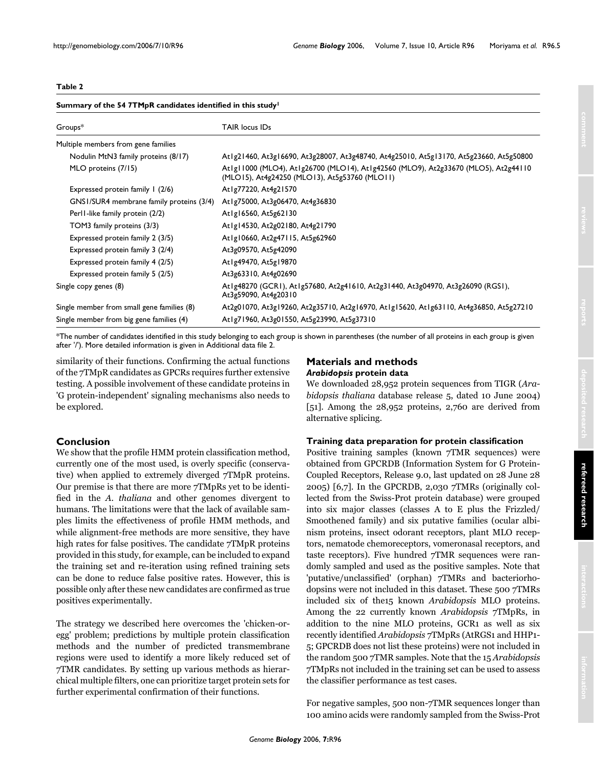# **Table 2**

|  |  | Summary of the 54 7TMpR candidates identified in this study <sup>1</sup> |
|--|--|--------------------------------------------------------------------------|
|--|--|--------------------------------------------------------------------------|

| Groups*                                    | TAIR locus IDs                                                                                                                      |
|--------------------------------------------|-------------------------------------------------------------------------------------------------------------------------------------|
| Multiple members from gene families        |                                                                                                                                     |
| Nodulin MtN3 family proteins (8/17)        | At1g21460, At3g16690, At3g28007, At3g48740, At4g25010, At5g13170, At5g23660, At5g50800                                              |
| MLO proteins (7/15)                        | Atlgl1000 (MLO4), Atlg26700 (MLO14), Atlg42560 (MLO9), At2g33670 (MLO5), At2g44110<br>(MLO15), At4g24250 (MLO13), At5g53760 (MLO11) |
| Expressed protein family 1 (2/6)           | At1g77220, At4g21570                                                                                                                |
| GNS1/SUR4 membrane family proteins (3/4)   | At1g75000, At3g06470, At4g36830                                                                                                     |
| Perl I-like family protein (2/2)           | At1g16560, At5g62130                                                                                                                |
| TOM3 family proteins (3/3)                 | At 1g14530, At 2g02180, At 4g21790                                                                                                  |
| Expressed protein family 2 (3/5)           | At1g10660, At2g47115, At5g62960                                                                                                     |
| Expressed protein family 3 (2/4)           | At3g09570, At5g42090                                                                                                                |
| Expressed protein family 4 (2/5)           | At1g49470, At5g19870                                                                                                                |
| Expressed protein family 5 (2/5)           | At3g63310, At4g02690                                                                                                                |
| Single copy genes (8)                      | Atlg48270 (GCRI), Atlg57680, At2g41610, At2g31440, At3g04970, At3g26090 (RGSI),<br>At3g59090, At4g20310                             |
| Single member from small gene families (8) | At2g01070, At3g19260, At2g35710, At2g16970, At1g15620, At1g63110, At4g36850, At5g27210                                              |
| Single member from big gene families (4)   | Atlg71960, At3g01550, At5g23990, At5g37310                                                                                          |

\*The number of candidates identified in this study belonging to each group is shown in parentheses (the number of all proteins in each group is given after '/'). More detailed information is given in Additional data file 2.

similarity of their functions. Confirming the actual functions of the 7TMpR candidates as GPCRs requires further extensive testing. A possible involvement of these candidate proteins in 'G protein-independent' signaling mechanisms also needs to be explored.

# **Conclusion**

We show that the profile HMM protein classification method, currently one of the most used, is overly specific (conservative) when applied to extremely diverged 7TMpR proteins. Our premise is that there are more 7TMpRs yet to be identified in the *A. thaliana* and other genomes divergent to humans. The limitations were that the lack of available samples limits the effectiveness of profile HMM methods, and while alignment-free methods are more sensitive, they have high rates for false positives. The candidate 7TMpR proteins provided in this study, for example, can be included to expand the training set and re-iteration using refined training sets can be done to reduce false positive rates. However, this is possible only after these new candidates are confirmed as true positives experimentally.

The strategy we described here overcomes the 'chicken-oregg' problem; predictions by multiple protein classification methods and the number of predicted transmembrane regions were used to identify a more likely reduced set of 7TMR candidates. By setting up various methods as hierarchical multiple filters, one can prioritize target protein sets for further experimental confirmation of their functions.

# **Materials and methods** *Arabidopsis* **protein data**

We downloaded 28,952 protein sequences from TIGR (*Arabidopsis thaliana* database release 5, dated 10 June 2004) [51]. Among the 28,952 proteins, 2,760 are derived from alternative splicing.

# **Training data preparation for protein classification**

Positive training samples (known 7TMR sequences) were obtained from GPCRDB (Information System for G Protein-Coupled Receptors, Release 9.0, last updated on 28 June 28 2005) [6,7]. In the GPCRDB, 2,030 7TMRs (originally collected from the Swiss-Prot protein database) were grouped into six major classes (classes A to E plus the Frizzled/ Smoothened family) and six putative families (ocular albinism proteins, insect odorant receptors, plant MLO receptors, nematode chemoreceptors, vomeronasal receptors, and taste receptors). Five hundred 7TMR sequences were randomly sampled and used as the positive samples. Note that 'putative/unclassified' (orphan) 7TMRs and bacteriorhodopsins were not included in this dataset. These 500 7TMRs included six of the15 known *Arabidopsis* MLO proteins. Among the 22 currently known *Arabidopsis* 7TMpRs, in addition to the nine MLO proteins, GCR1 as well as six recently identified *Arabidopsis* 7TMpRs (AtRGS1 and HHP1- 5; GPCRDB does not list these proteins) were not included in the random 500 7TMR samples. Note that the 15 *Arabidopsis* 7TMpRs not included in the training set can be used to assess the classifier performance as test cases.

For negative samples, 500 non-7TMR sequences longer than 100 amino acids were randomly sampled from the Swiss-Prot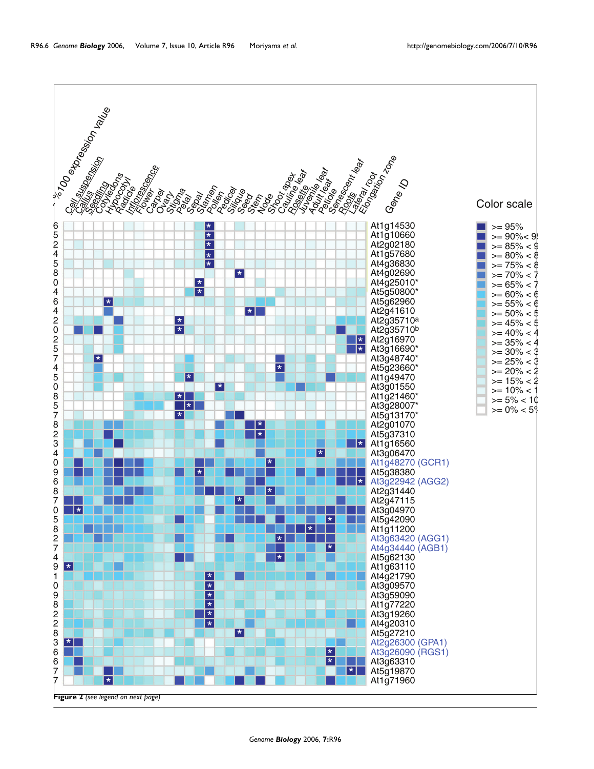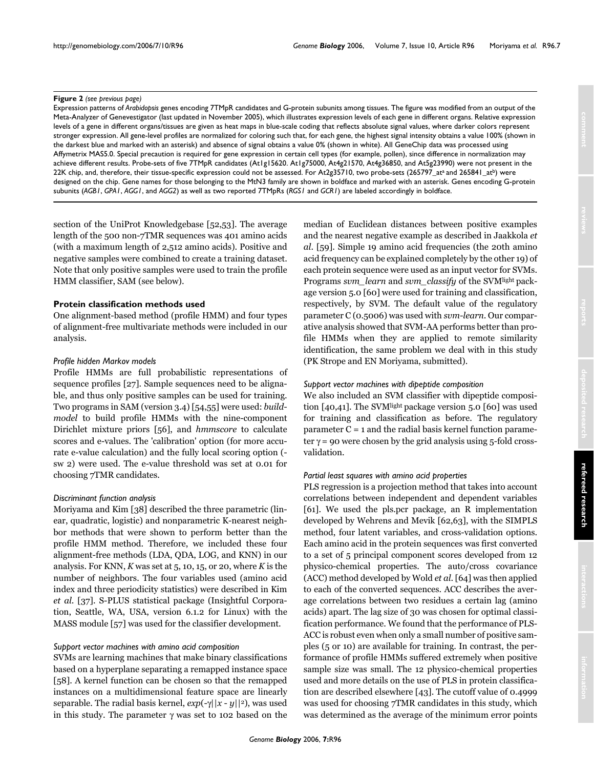#### **Figure 2** (see previous page)

Expression patterns of *Arabidopsis* genes encoding 7TMpR candidates and G-protein subunits among tissues. The figure was modified from an output of the Meta-Analyzer of Genevestigator (last updated in November 2005), which illustrates expression levels of each gene in different organs. Relative expression levels of a gene in different organs/tissues are given as heat maps in blue-scale coding that reflects absolute signal values, where darker colors represent stronger expression. All gene-level profiles are normalized for coloring such that, for each gene, the highest signal intensity obtains a value 100% (shown in the darkest blue and marked with an asterisk) and absence of signal obtains a value 0% (shown in white). All GeneChip data was processed using Affymetrix MAS5.0. Special precaution is required for gene expression in certain cell types (for example, pollen), since difference in normalization may achieve different results. Probe-sets of five 7TMpR candidates (At1g15620. At1g75000, At4g21570, At4g36850, and At5g23990) were not present in the 22K chip, and, therefore, their tissue-specific expression could not be assessed. For At2g35710, two probe-sets (265797\_at<sup>a</sup> and 265841\_at<sup>b</sup>) were designed on the chip. Gene names for those belonging to the MtN3 family are shown in boldface and marked with an asterisk. Genes encoding G-protein subunits (*AGB1*, *GPA1*, *AGG1*, and *AGG2*) as well as two reported 7TMpRs (*RGS1* and *GCR1*) are labeled accordingly in boldface.

section of the UniProt Knowledgebase [52,53]. The average length of the 500 non-7TMR sequences was 401 amino acids (with a maximum length of 2,512 amino acids). Positive and negative samples were combined to create a training dataset. Note that only positive samples were used to train the profile HMM classifier, SAM (see below).

# **Protein classification methods used**

One alignment-based method (profile HMM) and four types of alignment-free multivariate methods were included in our analysis.

#### *Profile hidden Markov models*

Profile HMMs are full probabilistic representations of sequence profiles [27]. Sample sequences need to be alignable, and thus only positive samples can be used for training. Two programs in SAM (version 3.4) [54,55] were used: *buildmodel* to build profile HMMs with the nine-component Dirichlet mixture priors [56], and *hmmscore* to calculate scores and e-values. The 'calibration' option (for more accurate e-value calculation) and the fully local scoring option ( sw 2) were used. The e-value threshold was set at 0.01 for choosing 7TMR candidates.

### *Discriminant function analysis*

Moriyama and Kim [38] described the three parametric (linear, quadratic, logistic) and nonparametric K-nearest neighbor methods that were shown to perform better than the profile HMM method. Therefore, we included these four alignment-free methods (LDA, QDA, LOG, and KNN) in our analysis. For KNN, *K* was set at 5, 10, 15, or 20, where *K* is the number of neighbors. The four variables used (amino acid index and three periodicity statistics) were described in Kim *et al*. [37]. S-PLUS statistical package (Insightful Corporation, Seattle, WA, USA, version 6.1.2 for Linux) with the MASS module [57] was used for the classifier development.

#### *Support vector machines with amino acid composition*

SVMs are learning machines that make binary classifications based on a hyperplane separating a remapped instance space [58]. A kernel function can be chosen so that the remapped instances on a multidimensional feature space are linearly separable. The radial basis kernel, *exp*(-γ||*x* - *y*||2), was used in this study. The parameter  $γ$  was set to 102 based on the median of Euclidean distances between positive examples and the nearest negative example as described in Jaakkola *et al*. [59]. Simple 19 amino acid frequencies (the 20th amino acid frequency can be explained completely by the other 19) of each protein sequence were used as an input vector for SVMs. Programs *svm\_learn* and *svm\_classify* of the SVMlight package version 5.0 [60] were used for training and classification, respectively, by SVM. The default value of the regulatory parameter C (0.5006) was used with *svm-learn*. Our comparative analysis showed that SVM-AA performs better than profile HMMs when they are applied to remote similarity identification, the same problem we deal with in this study (PK Strope and EN Moriyama, submitted).

#### *Support vector machines with dipeptide composition*

We also included an SVM classifier with dipeptide composition [40,41]. The SVMlight package version 5.0 [60] was used for training and classification as before. The regulatory  $parameter C = 1$  and the radial basis kernel function parameter  $\gamma$  = 90 were chosen by the grid analysis using 5-fold crossvalidation.

# *Partial least squares with amino acid properties*

PLS regression is a projection method that takes into account correlations between independent and dependent variables [61]. We used the pls.pcr package, an R implementation developed by Wehrens and Mevik [62,63], with the SIMPLS method, four latent variables, and cross-validation options. Each amino acid in the protein sequences was first converted to a set of 5 principal component scores developed from 12 physico-chemical properties. The auto/cross covariance (ACC) method developed by Wold *et al*. [64] was then applied to each of the converted sequences. ACC describes the average correlations between two residues a certain lag (amino acids) apart. The lag size of 30 was chosen for optimal classification performance. We found that the performance of PLS-ACC is robust even when only a small number of positive samples (5 or 10) are available for training. In contrast, the performance of profile HMMs suffered extremely when positive sample size was small. The 12 physico-chemical properties used and more details on the use of PLS in protein classification are described elsewhere [43]. The cutoff value of 0.4999 was used for choosing 7TMR candidates in this study, which was determined as the average of the minimum error points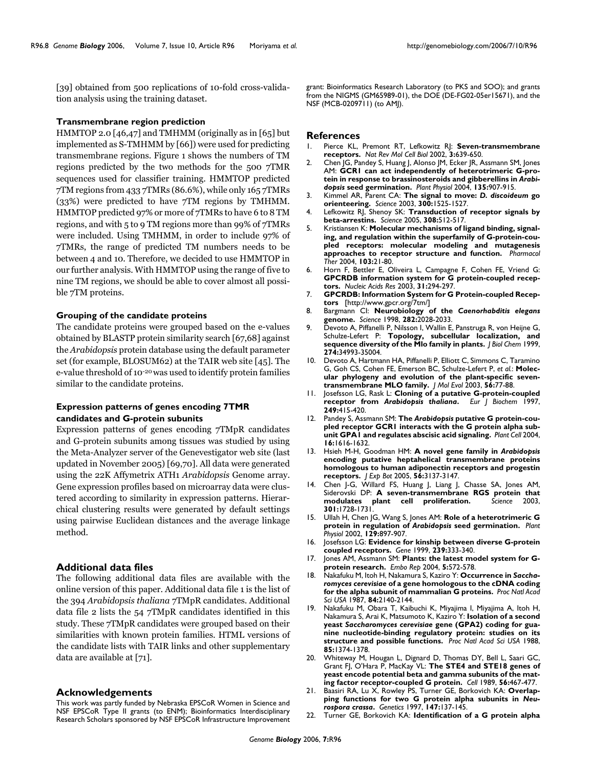[39] obtained from 500 replications of 10-fold cross-validation analysis using the training dataset.

# **Transmembrane region prediction**

HMMTOP 2.0 [46,47] and TMHMM (originally as in [65] but implemented as S-TMHMM by [66]) were used for predicting transmembrane regions. Figure 1 shows the numbers of TM regions predicted by the two methods for the 500 7TMR sequences used for classifier training. HMMTOP predicted 7TM regions from 433 7TMRs (86.6%), while only 165 7TMRs (33%) were predicted to have 7TM regions by TMHMM. HMMTOP predicted 97% or more of 7TMRs to have 6 to 8 TM regions, and with 5 to 9 TM regions more than 99% of 7TMRs were included. Using TMHMM, in order to include 97% of 7TMRs, the range of predicted TM numbers needs to be between 4 and 10. Therefore, we decided to use HMMTOP in our further analysis. With HMMTOP using the range of five to nine TM regions, we should be able to cover almost all possible 7TM proteins.

#### **Grouping of the candidate proteins**

The candidate proteins were grouped based on the e-values obtained by BLASTP protein similarity search [67,68] against the *Arabidopsis* protein database using the default parameter set (for example, BLOSUM62) at the TAIR web site [45]. The e-value threshold of 10-20 was used to identify protein families similar to the candidate proteins.

# **Expression patterns of genes encoding 7TMR candidates and G-protein subunits**

Expression patterns of genes encoding 7TMpR candidates and G-protein subunits among tissues was studied by using the Meta-Analyzer server of the Genevestigator web site (last updated in November 2005) [69,70]. All data were generated using the 22K Affymetrix ATH1 *Arabidopsis* Genome array. Gene expression profiles based on microarray data were clustered according to similarity in expression patterns. Hierarchical clustering results were generated by default settings using pairwise Euclidean distances and the average linkage method.

# **Additional data files**

The following additional data files are available with the online version of this paper. Additional data file 1 is the list of the 394 *Arabidopsis thaliana* 7TMpR candidates. Additional data file 2 lists the 54 7TMpR candidates identified in this study. These 7TMpR candidates were grouped based on their similarities with known protein families. HTML versions of the candidate lists with TAIR links and other supplementary data are available at [71].

### **Acknowledgements**

This work was partly funded by Nebraska EPSCoR Women in Science and NSF EPSCoR Type II grants (to ENM); Bioinformatics Interdisciplinary Research Scholars sponsored by NSF EPSCoR Infrastructure Improvement

grant: Bioinformatics Research Laboratory (to PKS and SOO); and grants from the NIGMS (GM65989-01), the DOE (DE-FG02-05er15671), and the NSF (MCB-0209711) (to AMJ).

# **References**

- 1. Pierce KL, Premont RT, Lefkowitz RJ: **[Seven-transmembrane](http://www.ncbi.nlm.nih.gov/entrez/query.fcgi?cmd=Retrieve&db=PubMed&dopt=Abstract&list_uids=12209124) [receptors.](http://www.ncbi.nlm.nih.gov/entrez/query.fcgi?cmd=Retrieve&db=PubMed&dopt=Abstract&list_uids=12209124)** *Nat Rev Mol Cell Biol* 2002, **3:**639-650.
- 2. Chen JG, Pandey S, Huang J, Alonso JM, Ecker JR, Assmann SM, Jones AM: **GCR1 can act independently of heterotrimeric G-protein in response to brassinosteroids and gibberellins in** *Arabidopsis* **[seed germination.](http://www.ncbi.nlm.nih.gov/entrez/query.fcgi?cmd=Retrieve&db=PubMed&dopt=Abstract&list_uids=15181210)** *Plant Physiol* 2004, **135:**907-915.
- 3. Kimmel AR, Parent CA: **The signal to move:** *D. discoideum* **[go](http://www.ncbi.nlm.nih.gov/entrez/query.fcgi?cmd=Retrieve&db=PubMed&dopt=Abstract&list_uids=12791977) [orienteering.](http://www.ncbi.nlm.nih.gov/entrez/query.fcgi?cmd=Retrieve&db=PubMed&dopt=Abstract&list_uids=12791977)** *Science* 2003, **300:**1525-1527.
- 4. Lefkowitz RJ, Shenoy SK: **[Transduction of receptor signals by](http://www.ncbi.nlm.nih.gov/entrez/query.fcgi?cmd=Retrieve&db=PubMed&dopt=Abstract&list_uids=15845844) [beta-arrestins.](http://www.ncbi.nlm.nih.gov/entrez/query.fcgi?cmd=Retrieve&db=PubMed&dopt=Abstract&list_uids=15845844)** *Science* 2005, **308:**512-517.
- Kristiansen K: **[Molecular mechanisms of ligand binding, signal](http://www.ncbi.nlm.nih.gov/entrez/query.fcgi?cmd=Retrieve&db=PubMed&dopt=Abstract&list_uids=15251227)[ing, and regulation within the superfamily of G-protein-cou](http://www.ncbi.nlm.nih.gov/entrez/query.fcgi?cmd=Retrieve&db=PubMed&dopt=Abstract&list_uids=15251227)pled receptors: molecular modeling and mutagenesis [approaches to receptor structure and function.](http://www.ncbi.nlm.nih.gov/entrez/query.fcgi?cmd=Retrieve&db=PubMed&dopt=Abstract&list_uids=15251227)** *Pharmacol Ther* 2004, **103:**21-80.
- 6. Horn F, Bettler E, Oliveira L, Campagne F, Cohen FE, Vriend G: **[GPCRDB information system for G protein-coupled recep](http://www.ncbi.nlm.nih.gov/entrez/query.fcgi?cmd=Retrieve&db=PubMed&dopt=Abstract&list_uids=12520006)[tors.](http://www.ncbi.nlm.nih.gov/entrez/query.fcgi?cmd=Retrieve&db=PubMed&dopt=Abstract&list_uids=12520006)** *Nucleic Acids Res* 2003, **31:**294-297.
- 7. **GPCRDB: Information System for G Protein-coupled Receptors** [\[http://www.gpcr.org/7tm/\]](http://www.gpcr.org/7tm/)
- 8. Bargmann CI: **Neurobiology of the** *Caenorhabditis elegans* **[genome.](http://www.ncbi.nlm.nih.gov/entrez/query.fcgi?cmd=Retrieve&db=PubMed&dopt=Abstract&list_uids=9851919)** *Science* 1998, **282:**2028-2033.
- 9. Devoto A, Piffanelli P, Nilsson I, Wallin E, Panstruga R, von Heijne G, Schulze-Lefert P: **[Topology, subcellular localization, and](http://www.ncbi.nlm.nih.gov/entrez/query.fcgi?cmd=Retrieve&db=PubMed&dopt=Abstract&list_uids=10574976) [sequence diversity of the Mlo family in plants.](http://www.ncbi.nlm.nih.gov/entrez/query.fcgi?cmd=Retrieve&db=PubMed&dopt=Abstract&list_uids=10574976)** *J Biol Chem* 1999, **274:**34993-35004.
- 10. Devoto A, Hartmann HA, Piffanelli P, Elliott C, Simmons C, Taramino G, Goh CS, Cohen FE, Emerson BC, Schulze-Lefert P, *et al.*: **[Molec](http://www.ncbi.nlm.nih.gov/entrez/query.fcgi?cmd=Retrieve&db=PubMed&dopt=Abstract&list_uids=12569425)[ular phylogeny and evolution of the plant-specific seven](http://www.ncbi.nlm.nih.gov/entrez/query.fcgi?cmd=Retrieve&db=PubMed&dopt=Abstract&list_uids=12569425)[transmembrane MLO family.](http://www.ncbi.nlm.nih.gov/entrez/query.fcgi?cmd=Retrieve&db=PubMed&dopt=Abstract&list_uids=12569425)** *J Mol Evol* 2003, **56:**77-88.
- 11. Josefsson LG, Rask L: **Cloning of a putative G-protein-coupled receptor from** *Arabidopsis thaliana***[.](http://www.ncbi.nlm.nih.gov/entrez/query.fcgi?cmd=Retrieve&db=PubMed&dopt=Abstract&list_uids=9370348)** *Eur J Biochem* 1997, **249:**415-420.
- 12. Pandey S, Assmann SM: **The** *Arabidopsis* **[putative G protein-cou](http://www.ncbi.nlm.nih.gov/entrez/query.fcgi?cmd=Retrieve&db=PubMed&dopt=Abstract&list_uids=15155892)[pled receptor GCR1 interacts with the G protein alpha sub](http://www.ncbi.nlm.nih.gov/entrez/query.fcgi?cmd=Retrieve&db=PubMed&dopt=Abstract&list_uids=15155892)[unit GPA1 and regulates abscisic acid signaling.](http://www.ncbi.nlm.nih.gov/entrez/query.fcgi?cmd=Retrieve&db=PubMed&dopt=Abstract&list_uids=15155892)** *Plant Cell* 2004, **16:**1616-1632.
- 13. Hsieh M-H, Goodman HM: **A novel gene family in** *Arabidopsis* **[encoding putative heptahelical transmembrane proteins](http://www.ncbi.nlm.nih.gov/entrez/query.fcgi?cmd=Retrieve&db=PubMed&dopt=Abstract&list_uids=16263907) homologous to human adiponectin receptors and progestin [receptors.](http://www.ncbi.nlm.nih.gov/entrez/query.fcgi?cmd=Retrieve&db=PubMed&dopt=Abstract&list_uids=16263907)** *J Exp Bot* 2005, **56:**3137-3147.
- 14. Chen J-G, Willard FS, Huang J, Liang J, Chasse SA, Jones AM, Siderovski DP: **[A seven-transmembrane RGS protein that](http://www.ncbi.nlm.nih.gov/entrez/query.fcgi?cmd=Retrieve&db=PubMed&dopt=Abstract&list_uids=14500984) [modulates plant cell proliferation.](http://www.ncbi.nlm.nih.gov/entrez/query.fcgi?cmd=Retrieve&db=PubMed&dopt=Abstract&list_uids=14500984)** Science **301:**1728-1731.
- 15. Ullah H, Chen JG, Wang S, Jones AM: **Role of a heterotrimeric G protein in regulation of** *Arabidopsis* **[seed germination.](http://www.ncbi.nlm.nih.gov/entrez/query.fcgi?cmd=Retrieve&db=PubMed&dopt=Abstract&list_uids=12068128)** *Plant Physiol* 2002, **129:**897-907.
- 16. Josefsson LG: **[Evidence for kinship between diverse G-protein](http://www.ncbi.nlm.nih.gov/entrez/query.fcgi?cmd=Retrieve&db=PubMed&dopt=Abstract&list_uids=10548735) [coupled receptors.](http://www.ncbi.nlm.nih.gov/entrez/query.fcgi?cmd=Retrieve&db=PubMed&dopt=Abstract&list_uids=10548735)** *Gene* 1999, **239:**333-340.
- 17. Jones AM, Assmann SM: **[Plants: the latest model system for G](http://www.ncbi.nlm.nih.gov/entrez/query.fcgi?cmd=Retrieve&db=PubMed&dopt=Abstract&list_uids=15170476)[protein research.](http://www.ncbi.nlm.nih.gov/entrez/query.fcgi?cmd=Retrieve&db=PubMed&dopt=Abstract&list_uids=15170476)** *Embo Rep* 2004, **5:**572-578.
- 18. Nakafuku M, Itoh H, Nakamura S, Kaziro Y: **Occurrence in** *Saccharomyces cerevisiae* **[of a gene homologous to the cDNA coding](http://www.ncbi.nlm.nih.gov/entrez/query.fcgi?cmd=Retrieve&db=PubMed&dopt=Abstract&list_uids=3031665) [for the alpha subunit of mammalian G proteins.](http://www.ncbi.nlm.nih.gov/entrez/query.fcgi?cmd=Retrieve&db=PubMed&dopt=Abstract&list_uids=3031665)** *Proc Natl Acad Sci USA* 1987, **84:**2140-2144.
- 19. Nakafuku M, Obara T, Kaibuchi K, Miyajima I, Miyajima A, Itoh H, Nakamura S, Arai K, Matsumoto K, Kaziro Y: **Isolation of a second yeast** *Saccharomyces cerevisiae* **[gene \(GPA2\) coding for gua](http://www.ncbi.nlm.nih.gov/entrez/query.fcgi?cmd=Retrieve&db=PubMed&dopt=Abstract&list_uids=2830616)[nine nucleotide-binding regulatory protein: studies on its](http://www.ncbi.nlm.nih.gov/entrez/query.fcgi?cmd=Retrieve&db=PubMed&dopt=Abstract&list_uids=2830616) [structure and possible functions.](http://www.ncbi.nlm.nih.gov/entrez/query.fcgi?cmd=Retrieve&db=PubMed&dopt=Abstract&list_uids=2830616)** *Proc Natl Acad Sci USA* 1988, **85:**1374-1378.
- 20. Whiteway M, Hougan L, Dignard D, Thomas DY, Bell L, Saari GC, Grant FJ, O'Hara P, MacKay VL: **[The STE4 and STE18 genes of](http://www.ncbi.nlm.nih.gov/entrez/query.fcgi?cmd=Retrieve&db=PubMed&dopt=Abstract&list_uids=2536595) [yeast encode potential beta and gamma subunits of the mat](http://www.ncbi.nlm.nih.gov/entrez/query.fcgi?cmd=Retrieve&db=PubMed&dopt=Abstract&list_uids=2536595)[ing factor receptor-coupled G protein.](http://www.ncbi.nlm.nih.gov/entrez/query.fcgi?cmd=Retrieve&db=PubMed&dopt=Abstract&list_uids=2536595)** *Cell* 1989, **56:**467-477.
- 21. Baasiri RA, Lu X, Rowley PS, Turner GE, Borkovich KA: **Overlapping functions for two G protein alpha subunits in** *Neurospora crassa***[.](http://www.ncbi.nlm.nih.gov/entrez/query.fcgi?cmd=Retrieve&db=PubMed&dopt=Abstract&list_uids=9286674)** *Genetics* 1997, **147:**137-145.
- 22. Turner GE, Borkovich KA: **Identification of a G protein alpha**